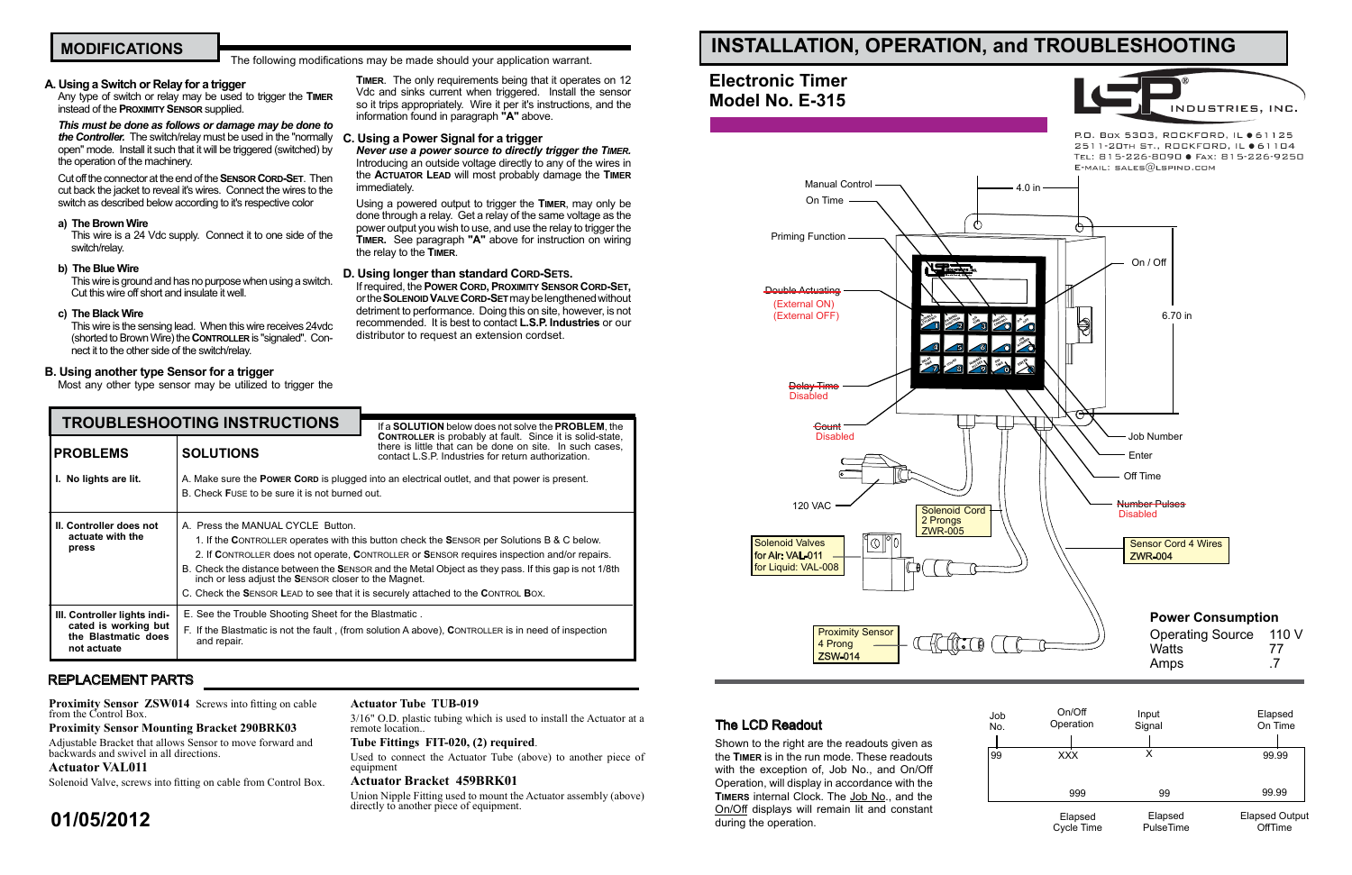### **Proximity Sensor Mounting Bracket 290BRK03**

Adjustable Bracket that allows Sensor to move forward and backwards and swivel in all directions.

> Union Nipple Fitting used to mount the Actuator assembly (above) directly to another piece of equipment.

### **Actuator VAL011**

Solenoid Valve, screws into fitting on cable from Control Box.

## **Actuator Tube TUB-019**

3/16" O.D. plastic tubing which is used to install the Actuator at a remote location..

## **Tube Fittings FIT-020, (2) required**.

Used to connect the Actuator Tube (above) to another piece of equipment

### **Actuator Bracket 459BRK01**

## **Electronic Timer Model No. E-315**

### **A. Using a Switch or Relay for a trigger**

Any type of switch or relay may be used to trigger the **Timer** instead of the **Proximity Sensor** supplied.

*This must be done as follows or damage may be done to the Controller.* The switch/relay must be used in the "normally open" mode. Install it such that it will be triggered (switched) by the operation of the machinery.

Cut off the connector at the end of the **Sensor Cord-Set**. Then cut back the jacket to reveal it's wires. Connect the wires to the switch as described below according to it's respective color

#### **a) The Brown Wire**

This wire is a 24 Vdc supply. Connect it to one side of the switch/relay.

#### **b) The Blue Wire**

This wire is ground and has no purpose when using a switch. Cut this wire off short and insulate it well.

#### **c) The Black Wire**

This wire is the sensing lead. When this wire receives 24vdc (shorted to Brown Wire) the **Controller** is "signaled". Connect it to the other side of the switch/relay.

#### **B. Using another type Sensor for a trigger**

Shown to the right are the readouts given as the **Timer** is in the run mode. These readouts with the exception of, Job No., and On/Off Operation, will display in accordance with the **Timers** internal Clock. The Job No., and the On/Off displays will remain lit and constant during the operation.



Most any other type sensor may be utilized to trigger the

## **MODIFICATIONS**

**Timer**. The only requirements being that it operates on 12 Vdc and sinks current when triggered. Install the sensor so it trips appropriately. Wire it per it's instructions, and the information found in paragraph **"A"** above.



#### **C. Using a Power Signal for a trigger**

*Never use a power source to directly trigger the Timer.*  Introducing an outside voltage directly to any of the wires in the **Actuator Lead** will most probably damage the **Timer** immediately.

Using a powered output to trigger the **Timer**, may only be done through a relay. Get a relay of the same voltage as the power output you wish to use, and use the relay to trigger the **Timer.** See paragraph **"A"** above for instruction on wiring the relay to the **Timer**.

#### **D. Using longer than standard CORD-SETS.**

If required, the **Power Cord, Proximity Sensor Cord-Set,** or the **Solenoid Valve Cord-Set** may be lengthened without detriment to performance. Doing this on site, however, is not recommended. It is best to contact **L.S.P. Industries** or our distributor to request an extension cordset.

The following modifications may be made should your application warrant.

## REPLACEMENT PARTS

**Proximity Sensor ZSW014** Screws into fitting on cable from the Control Box.

## The LCD Readout

| I ROUBLESHOO I ING INSTRUCTIONS                                                            |                                                                                                                                                                                                                                                                                                                                                                                                                                                                                    | If a <b>SOLUTION</b> below does not solve the <b>PROBLEM</b> , the                                                                                                                  |
|--------------------------------------------------------------------------------------------|------------------------------------------------------------------------------------------------------------------------------------------------------------------------------------------------------------------------------------------------------------------------------------------------------------------------------------------------------------------------------------------------------------------------------------------------------------------------------------|-------------------------------------------------------------------------------------------------------------------------------------------------------------------------------------|
| <b>PROBLEMS</b>                                                                            | <b>SOLUTIONS</b>                                                                                                                                                                                                                                                                                                                                                                                                                                                                   | <b>CONTROLLER</b> is probably at fault. Since it is solid-state,<br>there is little that can be done on site. In such cases,<br>contact L.S.P. Industries for return authorization. |
| I. No lights are lit.                                                                      | A. Make sure the POWER CORD is plugged into an electrical outlet, and that power is present.<br>B. Check Fuse to be sure it is not burned out.                                                                                                                                                                                                                                                                                                                                     |                                                                                                                                                                                     |
| II. Controller does not<br>actuate with the<br>press                                       | A. Press the MANUAL CYCLE Button.<br>1. If the CONTROLLER operates with this button check the SENSOR per Solutions B & C below.<br>2. If CONTROLLER does not operate, CONTROLLER or SENSOR requires inspection and/or repairs.<br>B. Check the distance between the SENSOR and the Metal Object as they pass. If this gap is not 1/8th<br>inch or less adjust the SENSOR closer to the Magnet.<br>C. Check the SENSOR LEAD to see that it is securely attached to the CONTROL BOX. |                                                                                                                                                                                     |
| III. Controller lights indi-<br>cated is working but<br>the Blastmatic does<br>not actuate | E. See the Trouble Shooting Sheet for the Blastmatic.<br>F. If the Blastmatic is not the fault, (from solution A above), CONTROLLER is in need of inspection<br>and repair.                                                                                                                                                                                                                                                                                                        |                                                                                                                                                                                     |

**TROUBLESHOOTING INSTRUCTIONS**

# **01/05/2012**